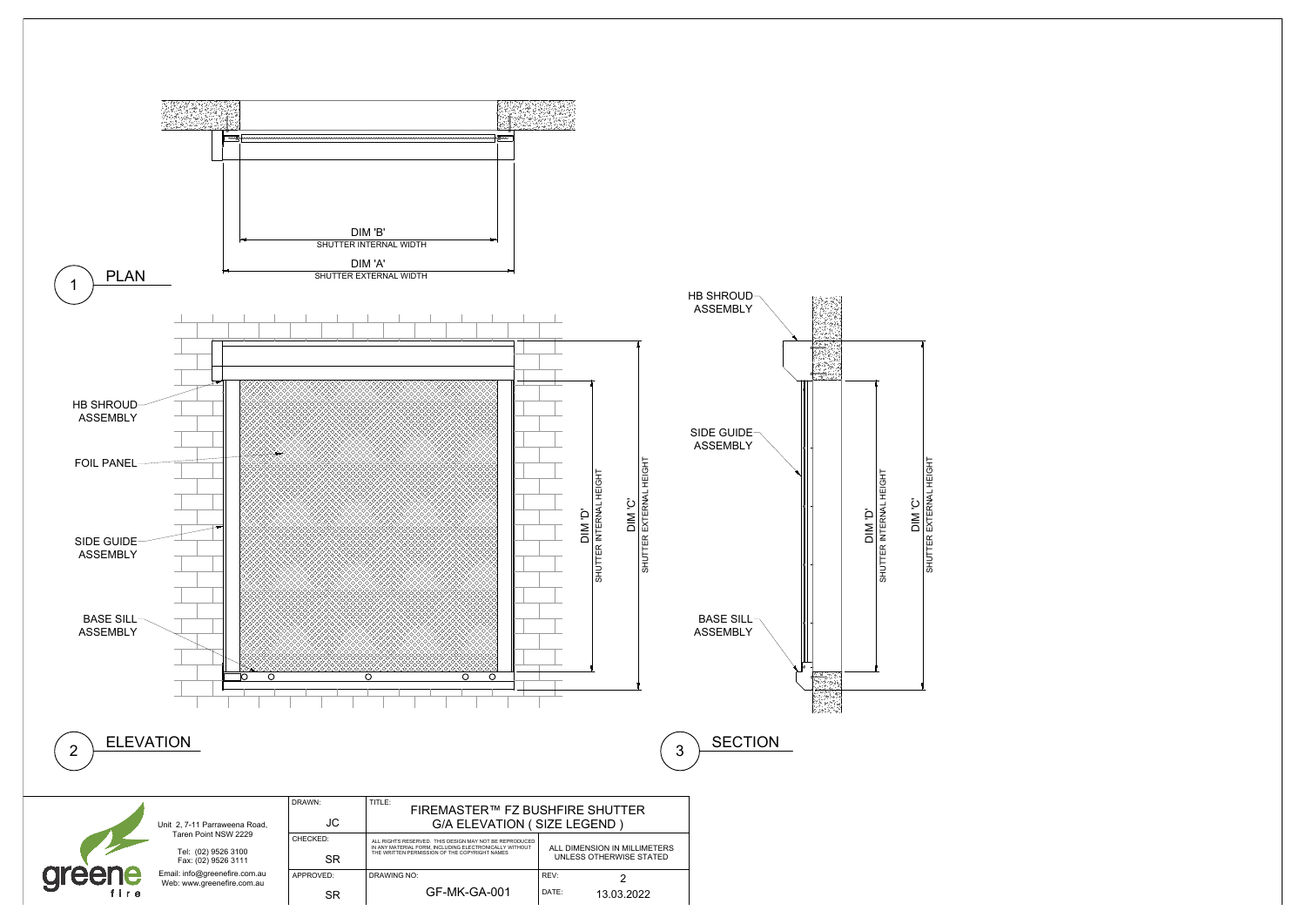